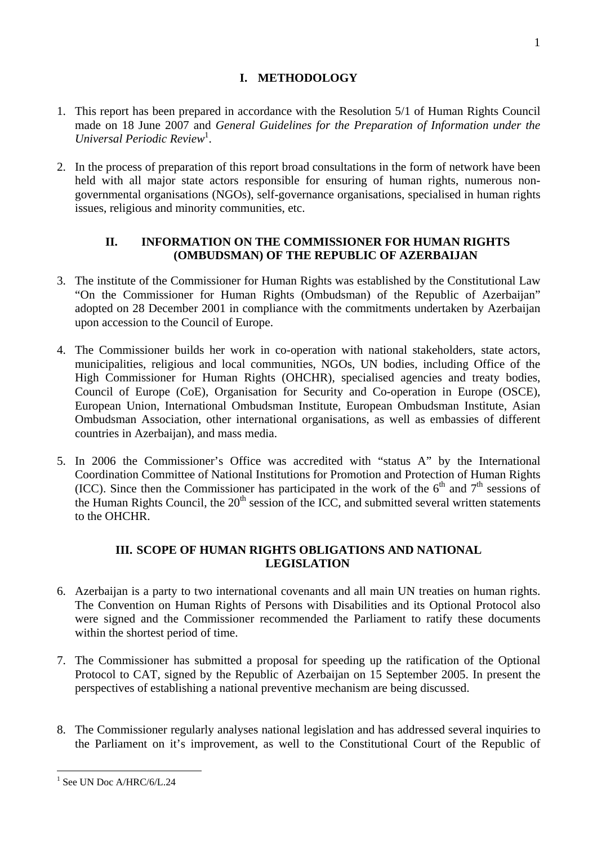# **I. METHODOLOGY**

- 1. This report has been prepared in accordance with the Resolution 5/1 of Human Rights Council made on 18 June 2007 and *General Guidelines for the Preparation of Information under the Universal Periodic Review*<sup>1</sup> .
- 2. In the process of preparation of this report broad consultations in the form of network have been held with all major state actors responsible for ensuring of human rights, numerous nongovernmental organisations (NGOs), self-governance organisations, specialised in human rights issues, religious and minority communities, etc.

## **II. INFORMATION ON THE COMMISSIONER FOR HUMAN RIGHTS (OMBUDSMAN) OF THE REPUBLIC OF AZERBAIJAN**

- 3. The institute of the Commissioner for Human Rights was established by the Constitutional Law "On the Commissioner for Human Rights (Ombudsman) of the Republic of Azerbaijan" adopted on 28 December 2001 in compliance with the commitments undertaken by Azerbaijan upon accession to the Council of Europe.
- 4. The Commissioner builds her work in co-operation with national stakeholders, state actors, municipalities, religious and local communities, NGOs, UN bodies, including Office of the High Commissioner for Human Rights (OHCHR), specialised agencies and treaty bodies, Council of Europe (CoE), Organisation for Security and Co-operation in Europe (OSCE), European Union, International Ombudsman Institute, European Ombudsman Institute, Asian Ombudsman Association, other international organisations, as well as embassies of different countries in Azerbaijan), and mass media.
- 5. In 2006 the Commissioner's Office was accredited with "status A" by the International Coordination Committee of National Institutions for Promotion and Protection of Human Rights (ICC). Since then the Commissioner has participated in the work of the  $6<sup>th</sup>$  and  $7<sup>th</sup>$  sessions of the Human Rights Council, the 20<sup>th</sup> session of the ICC, and submitted several written statements to the OHCHR.

# **III. SCOPE OF HUMAN RIGHTS OBLIGATIONS AND NATIONAL LEGISLATION**

- 6. Azerbaijan is a party to two international covenants and all main UN treaties on human rights. The Convention on Human Rights of Persons with Disabilities and its Optional Protocol also were signed and the Commissioner recommended the Parliament to ratify these documents within the shortest period of time.
- 7. The Commissioner has submitted a proposal for speeding up the ratification of the Optional Protocol to CAT, signed by the Republic of Azerbaijan on 15 September 2005. In present the perspectives of establishing a national preventive mechanism are being discussed.
- 8. The Commissioner regularly analyses national legislation and has addressed several inquiries to the Parliament on it's improvement, as well to the Constitutional Court of the Republic of

<sup>&</sup>lt;sup>1</sup> See UN Doc A/HRC/6/L.24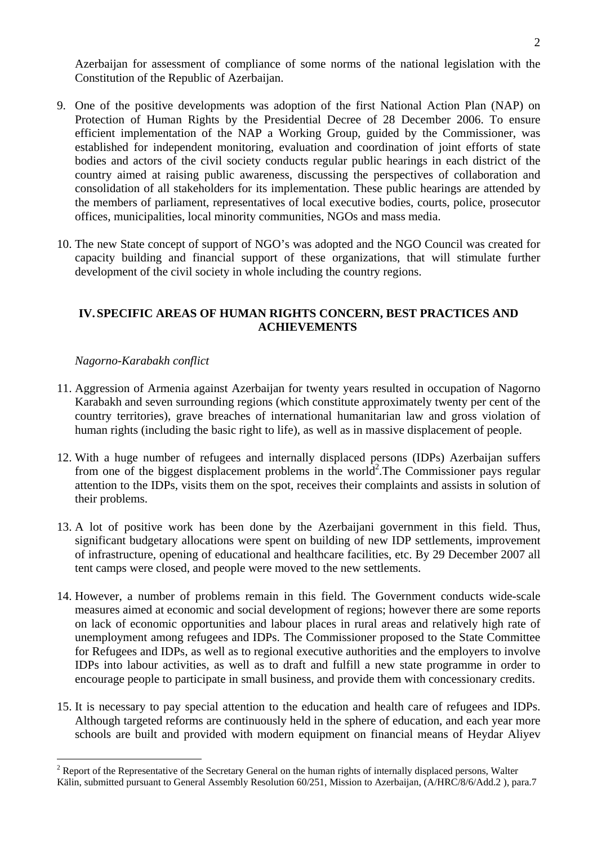Azerbaijan for assessment of compliance of some norms of the national legislation with the Constitution of the Republic of Azerbaijan.

- 9. One of the positive developments was adoption of the first National Action Plan (NAP) on Protection of Human Rights by the Presidential Decree of 28 December 2006. To ensure efficient implementation of the NAP a Working Group, guided by the Commissioner, was established for independent monitoring, evaluation and coordination of joint efforts of state bodies and actors of the civil society conducts regular public hearings in each district of the country aimed at raising public awareness, discussing the perspectives of collaboration and consolidation of all stakeholders for its implementation. These public hearings are attended by the members of parliament, representatives of local executive bodies, courts, police, prosecutor offices, municipalities, local minority communities, NGOs and mass media.
- 10. The new State concept of support of NGO's was adopted and the NGO Council was created for capacity building and financial support of these organizations, that will stimulate further development of the civil society in whole including the country regions.

### **IV. SPECIFIC AREAS OF HUMAN RIGHTS CONCERN, BEST PRACTICES AND ACHIEVEMENTS**

## *Nagorno-Karabakh conflict*

 $\overline{a}$ 

- 11. Aggression of Armenia against Azerbaijan for twenty years resulted in occupation of Nagorno Karabakh and seven surrounding regions (which constitute approximately twenty per cent of the country territories), grave breaches of international humanitarian law and gross violation of human rights (including the basic right to life), as well as in massive displacement of people.
- 12. With a huge number of refugees and internally displaced persons (IDPs) Azerbaijan suffers from one of the biggest displacement problems in the world<sup>2</sup>. The Commissioner pays regular attention to the IDPs, visits them on the spot, receives their complaints and assists in solution of their problems.
- 13. A lot of positive work has been done by the Azerbaijani government in this field. Thus, significant budgetary allocations were spent on building of new IDP settlements, improvement of infrastructure, opening of educational and healthcare facilities, etc. By 29 December 2007 all tent camps were closed, and people were moved to the new settlements.
- 14. However, a number of problems remain in this field. The Government conducts wide-scale measures aimed at economic and social development of regions; however there are some reports on lack of economic opportunities and labour places in rural areas and relatively high rate of unemployment among refugees and IDPs. The Commissioner proposed to the State Committee for Refugees and IDPs, as well as to regional executive authorities and the employers to involve IDPs into labour activities, as well as to draft and fulfill a new state programme in order to encourage people to participate in small business, and provide them with concessionary credits.
- 15. It is necessary to pay special attention to the education and health care of refugees and IDPs. Although targeted reforms are continuously held in the sphere of education, and each year more schools are built and provided with modern equipment on financial means of Heydar Aliyev

 $2^2$  Report of the Representative of the Secretary General on the human rights of internally displaced persons, Walter Kälin, submitted pursuant to General Assembly Resolution 60/251, Mission to Azerbaijan, (A/HRC/8/6/Add.2 ), para.7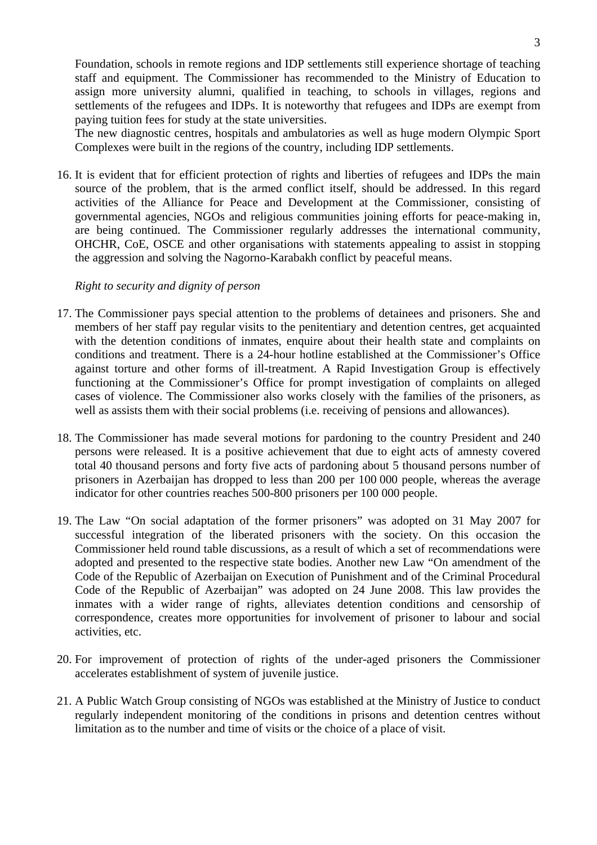Foundation, schools in remote regions and IDP settlements still experience shortage of teaching staff and equipment. The Commissioner has recommended to the Ministry of Education to assign more university alumni, qualified in teaching, to schools in villages, regions and settlements of the refugees and IDPs. It is noteworthy that refugees and IDPs are exempt from paying tuition fees for study at the state universities.

The new diagnostic centres, hospitals and ambulatories as well as huge modern Olympic Sport Complexes were built in the regions of the country, including IDP settlements.

16. It is evident that for efficient protection of rights and liberties of refugees and IDPs the main source of the problem, that is the armed conflict itself, should be addressed. In this regard activities of the Alliance for Peace and Development at the Commissioner, consisting of governmental agencies, NGOs and religious communities joining efforts for peace-making in, are being continued. The Commissioner regularly addresses the international community, OHCHR, CoE, OSCE and other organisations with statements appealing to assist in stopping the aggression and solving the Nagorno-Karabakh conflict by peaceful means.

### *Right to security and dignity of person*

- 17. The Commissioner pays special attention to the problems of detainees and prisoners. She and members of her staff pay regular visits to the penitentiary and detention centres, get acquainted with the detention conditions of inmates, enquire about their health state and complaints on conditions and treatment. There is a 24-hour hotline established at the Commissioner's Office against torture and other forms of ill-treatment. A Rapid Investigation Group is effectively functioning at the Commissioner's Office for prompt investigation of complaints on alleged cases of violence. The Commissioner also works closely with the families of the prisoners, as well as assists them with their social problems (i.e. receiving of pensions and allowances).
- 18. The Commissioner has made several motions for pardoning to the country President and 240 persons were released. It is a positive achievement that due to eight acts of amnesty covered total 40 thousand persons and forty five acts of pardoning about 5 thousand persons number of prisoners in Azerbaijan has dropped to less than 200 per 100 000 people, whereas the average indicator for other countries reaches 500-800 prisoners per 100 000 people.
- 19. The Law "On social adaptation of the former prisoners" was adopted on 31 May 2007 for successful integration of the liberated prisoners with the society. On this occasion the Commissioner held round table discussions, as a result of which a set of recommendations were adopted and presented to the respective state bodies. Another new Law "On amendment of the Code of the Republic of Azerbaijan on Execution of Punishment and of the Criminal Procedural Code of the Republic of Azerbaijan" was adopted on 24 June 2008. This law provides the inmates with a wider range of rights, alleviates detention conditions and censorship of correspondence, creates more opportunities for involvement of prisoner to labour and social activities, etc.
- 20. For improvement of protection of rights of the under-aged prisoners the Commissioner accelerates establishment of system of juvenile justice.
- 21. A Public Watch Group consisting of NGOs was established at the Ministry of Justice to conduct regularly independent monitoring of the conditions in prisons and detention centres without limitation as to the number and time of visits or the choice of a place of visit.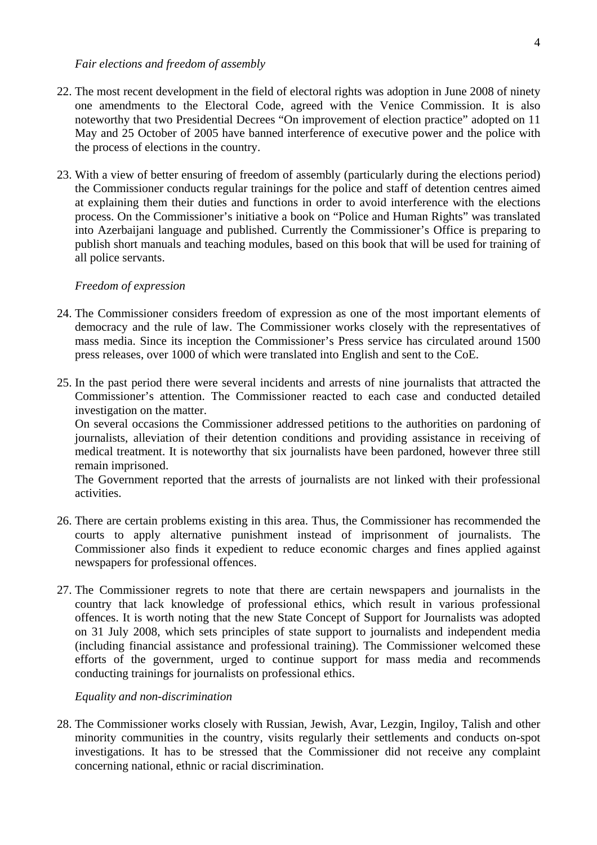#### *Fair elections and freedom of assembly*

- 22. The most recent development in the field of electoral rights was adoption in June 2008 of ninety one amendments to the Electoral Code, agreed with the Venice Commission. It is also noteworthy that two Presidential Decrees "On improvement of election practice" adopted on 11 May and 25 October of 2005 have banned interference of executive power and the police with the process of elections in the country.
- 23. With a view of better ensuring of freedom of assembly (particularly during the elections period) the Commissioner conducts regular trainings for the police and staff of detention centres aimed at explaining them their duties and functions in order to avoid interference with the elections process. On the Commissioner's initiative a book on "Police and Human Rights" was translated into Azerbaijani language and published. Currently the Commissioner's Office is preparing to publish short manuals and teaching modules, based on this book that will be used for training of all police servants.

### *Freedom of expression*

- 24. The Commissioner considers freedom of expression as one of the most important elements of democracy and the rule of law. The Commissioner works closely with the representatives of mass media. Since its inception the Commissioner's Press service has circulated around 1500 press releases, over 1000 of which were translated into English and sent to the CoE.
- 25. In the past period there were several incidents and arrests of nine journalists that attracted the Commissioner's attention. The Commissioner reacted to each case and conducted detailed investigation on the matter.

On several occasions the Commissioner addressed petitions to the authorities on pardoning of journalists, alleviation of their detention conditions and providing assistance in receiving of medical treatment. It is noteworthy that six journalists have been pardoned, however three still remain imprisoned.

The Government reported that the arrests of journalists are not linked with their professional activities.

- 26. There are certain problems existing in this area. Thus, the Commissioner has recommended the courts to apply alternative punishment instead of imprisonment of journalists. The Commissioner also finds it expedient to reduce economic charges and fines applied against newspapers for professional offences.
- 27. The Commissioner regrets to note that there are certain newspapers and journalists in the country that lack knowledge of professional ethics, which result in various professional offences. It is worth noting that the new State Concept of Support for Journalists was adopted on 31 July 2008, which sets principles of state support to journalists and independent media (including financial assistance and professional training). The Commissioner welcomed these efforts of the government, urged to continue support for mass media and recommends conducting trainings for journalists on professional ethics.

### *Equality and non-discrimination*

28. The Commissioner works closely with Russian, Jewish, Avar, Lezgin, Ingiloy, Talish and other minority communities in the country, visits regularly their settlements and conducts on-spot investigations. It has to be stressed that the Commissioner did not receive any complaint concerning national, ethnic or racial discrimination.